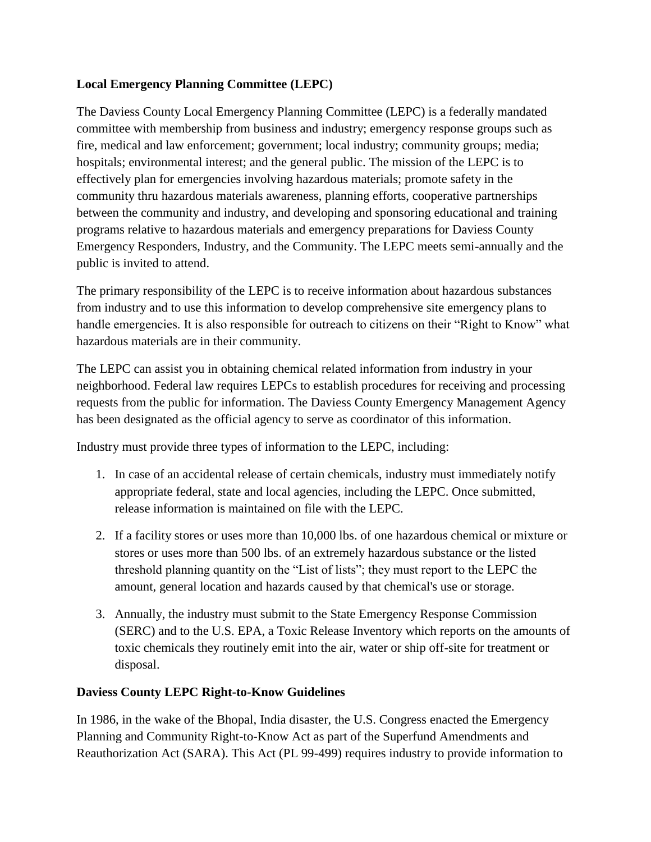## **Local Emergency Planning Committee (LEPC)**

The Daviess County Local Emergency Planning Committee (LEPC) is a federally mandated committee with membership from business and industry; emergency response groups such as fire, medical and law enforcement; government; local industry; community groups; media; hospitals; environmental interest; and the general public. The mission of the LEPC is to effectively plan for emergencies involving hazardous materials; promote safety in the community thru hazardous materials awareness, planning efforts, cooperative partnerships between the community and industry, and developing and sponsoring educational and training programs relative to hazardous materials and emergency preparations for Daviess County Emergency Responders, Industry, and the Community. The LEPC meets semi-annually and the public is invited to attend.

The primary responsibility of the LEPC is to receive information about hazardous substances from industry and to use this information to develop comprehensive site emergency plans to handle emergencies. It is also responsible for outreach to citizens on their "Right to Know" what hazardous materials are in their community.

The LEPC can assist you in obtaining chemical related information from industry in your neighborhood. Federal law requires LEPCs to establish procedures for receiving and processing requests from the public for information. The Daviess County Emergency Management Agency has been designated as the official agency to serve as coordinator of this information.

Industry must provide three types of information to the LEPC, including:

- 1. In case of an accidental release of certain chemicals, industry must immediately notify appropriate federal, state and local agencies, including the LEPC. Once submitted, release information is maintained on file with the LEPC.
- 2. If a facility stores or uses more than 10,000 lbs. of one hazardous chemical or mixture or stores or uses more than 500 lbs. of an extremely hazardous substance or the listed threshold planning quantity on the "List of lists"; they must report to the LEPC the amount, general location and hazards caused by that chemical's use or storage.
- 3. Annually, the industry must submit to the State Emergency Response Commission (SERC) and to the U.S. EPA, a Toxic Release Inventory which reports on the amounts of toxic chemicals they routinely emit into the air, water or ship off-site for treatment or disposal.

### **Daviess County LEPC Right-to-Know Guidelines**

In 1986, in the wake of the Bhopal, India disaster, the U.S. Congress enacted the Emergency Planning and Community Right-to-Know Act as part of the Superfund Amendments and Reauthorization Act (SARA). This Act (PL 99-499) requires industry to provide information to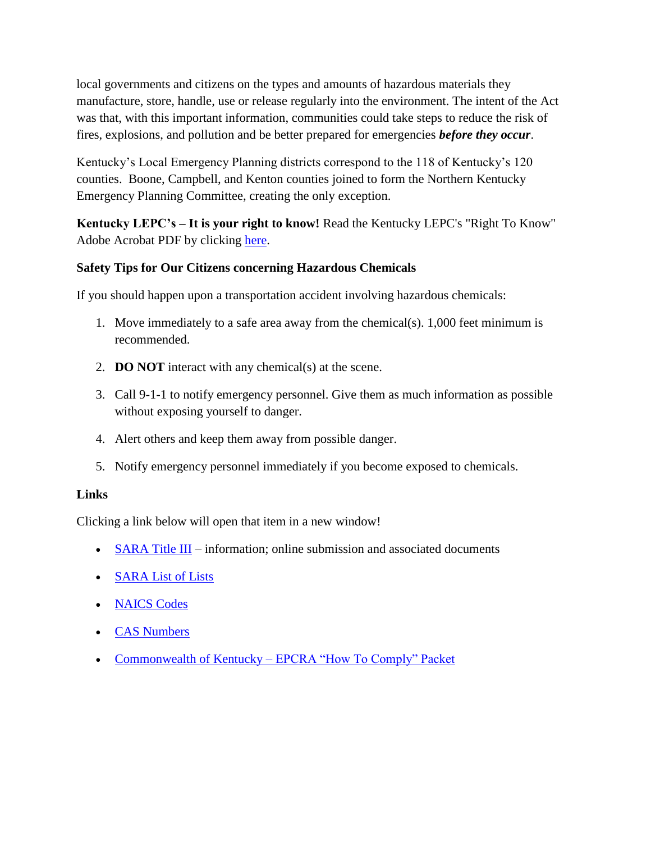local governments and citizens on the types and amounts of hazardous materials they manufacture, store, handle, use or release regularly into the environment. The intent of the Act was that, with this important information, communities could take steps to reduce the risk of fires, explosions, and pollution and be better prepared for emergencies *before they occur*.

Kentucky's Local Emergency Planning districts correspond to the 118 of Kentucky's 120 counties. Boone, Campbell, and Kenton counties joined to form the Northern Kentucky Emergency Planning Committee, creating the only exception.

**Kentucky LEPC's – It is your right to know!** Read the Kentucky LEPC's "Right To Know" Adobe Acrobat PDF by clicking [here.](http://kyem.ky.gov/programs/Documents/Kentucky%20LEPC%27s%20-%20It%20Is%20Your%20Right%20To%20Know%21%20UPDATE%202014.pdf)

### **Safety Tips for Our Citizens concerning Hazardous Chemicals**

If you should happen upon a transportation accident involving hazardous chemicals:

- 1. Move immediately to a safe area away from the chemical(s). 1,000 feet minimum is recommended.
- 2. **DO NOT** interact with any chemical(s) at the scene.
- 3. Call 9-1-1 to notify emergency personnel. Give them as much information as possible without exposing yourself to danger.
- 4. Alert others and keep them away from possible danger.
- 5. Notify emergency personnel immediately if you become exposed to chemicals.

### **Links**

Clicking a link below will open that item in a new window!

- $\bullet$  [SARA Title III](http://kyem.ky.gov/programs/Pages/SARATitleIII.aspx) information; online submission and associated documents
- [SARA List of Lists](http://www.epa.gov/emergencies/docs/chem/list_of_lists_revised_7_26_2011.pdf)
- [NAICS Codes](http://www.naics.com/search.htm)
- [CAS Numbers](http://www.epa.gov/enviro/facts/tri/search.html)
- Commonwealth of Kentucky [EPCRA "How To Comply" Packet](http://www.dcemaky.com/pdf/2014%20Commonwealth%20of%20Kentucky%27s%20-%20EPCRA%20How%20to%20Comply%20Packet.pdf)